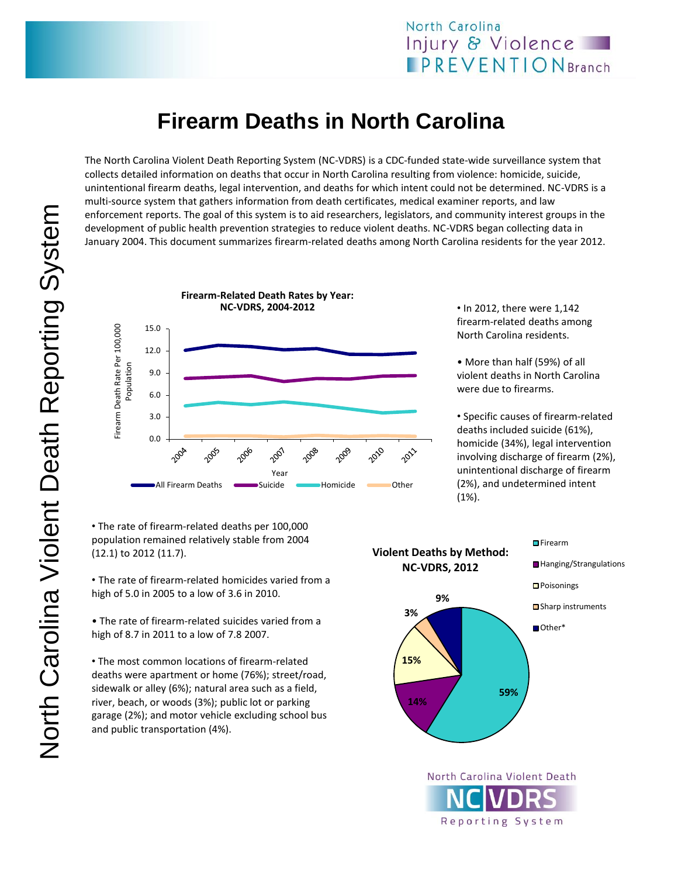## North Carolina Injury & Violence **IPREVENTION** Branch

## **Firearm Deaths in North Carolina**

The North Carolina Violent Death Reporting System (NC-VDRS) is a CDC-funded state-wide surveillance system that collects detailed information on deaths that occur in North Carolina resulting from violence: homicide, suicide, unintentional firearm deaths, legal intervention, and deaths for which intent could not be determined. NC-VDRS is a multi-source system that gathers information from death certificates, medical examiner reports, and law enforcement reports. The goal of this system is to aid researchers, legislators, and community interest groups in the development of public health prevention strategies to reduce violent deaths. NC-VDRS began collecting data in January 2004. This document summarizes firearm-related deaths among North Carolina residents for the year 2012.



• In 2012, there were 1,142 firearm-related deaths among North Carolina residents.

• More than half (59%) of all violent deaths in North Carolina were due to firearms.

• Specific causes of firearm-related deaths included suicide (61%), homicide (34%), legal intervention involving discharge of firearm (2%), unintentional discharge of firearm (2%), and undetermined intent (1%).

• The rate of firearm-related deaths per 100,000 population remained relatively stable from 2004 (12.1) to 2012 (11.7).

• The rate of firearm-related homicides varied from a high of 5.0 in 2005 to a low of 3.6 in 2010.

• The rate of firearm-related suicides varied from a high of 8.7 in 2011 to a low of 7.8 2007.

• The most common locations of firearm-related deaths were apartment or home (76%); street/road, sidewalk or alley (6%); natural area such as a field, river, beach, or woods (3%); public lot or parking garage (2%); and motor vehicle excluding school bus and public transportation (4%).



Reporting System